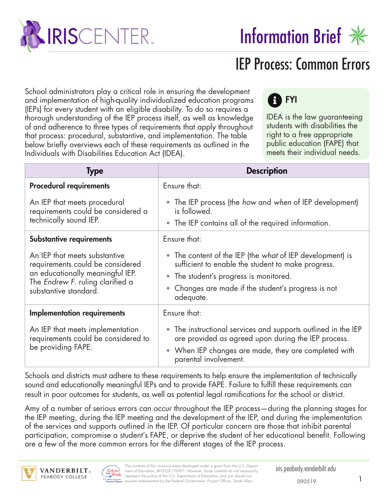

# IEP Process: Common Errors

School administrators play a critical role in ensuring the development and implementation of high-quality individualized education programs (IEPs) for every student with an eligible disability. To do so requires a thorough understanding of the IEP process itself, as well as knowledge of and adherence to three types of requirements that apply throughout that process: procedural, substantive, and implementation. The table below briefly overviews each of these requirements as outlined in the Individuals with Disabilities Education Act (IDEA).

## **R** FYI

IDEA is the law guaranteeing students with disabilities the right to a free appropriate public education (FAPE) that meets their individual needs.

| <b>Type</b>                                                                                                                                                        | <b>Description</b>                                                                                                                                                                                                            |
|--------------------------------------------------------------------------------------------------------------------------------------------------------------------|-------------------------------------------------------------------------------------------------------------------------------------------------------------------------------------------------------------------------------|
| <b>Procedural requirements</b>                                                                                                                                     | Ensure that:                                                                                                                                                                                                                  |
| An IEP that meets procedural<br>requirements could be considered a<br>technically sound IEP.                                                                       | • The IEP process (the how and when of IEP development)<br>is followed.<br>• The IEP contains all of the required information.                                                                                                |
| <b>Substantive requirements</b>                                                                                                                                    | Ensure that:                                                                                                                                                                                                                  |
| An IEP that meets substantive<br>requirements could be considered<br>an educationally meaningful IEP.<br>The Endrew F. ruling clarified a<br>substantive standard. | • The content of the IEP (the what of IEP development) is<br>sufficient to enable the student to make progress.<br>• The student's progress is monitored.<br>• Changes are made if the student's progress is not<br>adequate. |
| <b>Implementation requirements</b>                                                                                                                                 | Ensure that:                                                                                                                                                                                                                  |
| An IEP that meets implementation<br>requirements could be considered to<br>be providing FAPE.                                                                      | • The instructional services and supports outlined in the IEP<br>are provided as agreed upon during the IEP process.<br>• When IEP changes are made, they are completed with<br>parental involvement.                         |

Schools and districts must adhere to these requirements to help ensure the implementation of technically sound and educationally meaningful IEPs and to provide FAPE. Failure to fulfill these requirements can result in poor outcomes for students, as well as potential legal ramifications for the school or district.

Amy of a number of serious errors can occur throughout the IEP process—during the planning stages for the IEP meeting, during the IEP meeting and the development of the IEP, and during the implementation of the services and supports outlined in the IEP. Of particular concern are those that inhibit parental participation, compromise a student's FAPE, or deprive the student of her educational benefit. Following are a few of the more common errors for the different stages of the IEP process.



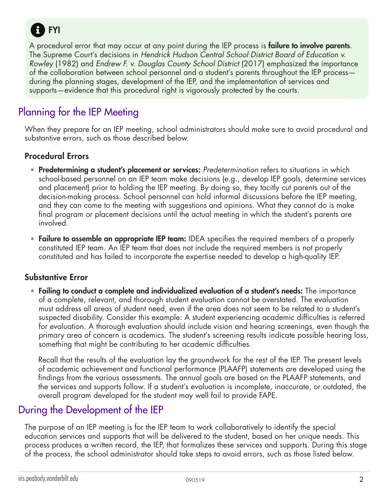

A procedural error that may occur at any point during the IEP process is **failure to involve parents**. The Supreme Court's decisions in *Hendrick Hudson Central School District Board of Education v. Rowley* (1982) and *Endrew F. v. Douglas County School District* (2017) emphasized the importance of the collaboration between school personnel and a student's parents throughout the IEP process during the planning stages, development of the IEP, and the implementation of services and supports—evidence that this procedural right is vigorously protected by the courts.

## Planning for the IEP Meeting

When they prepare for an IEP meeting, school administrators should make sure to avoid procedural and substantive errors, such as those described below.

#### Procedural Errors

- Predetermining a student's placement or services: *Predetermination* refers to situations in which school-based personnel on an IEP team make decisions (e.g., develop IEP goals, determine services and placement) prior to holding the IEP meeting. By doing so, they tacitly cut parents out of the decision-making process. School personnel can hold informal discussions before the IEP meeting, and they can come to the meeting with suggestions and opinions. What they cannot do is make final program or placement decisions until the actual meeting in which the student's parents are involved.
- Failure to assemble an appropriate IEP team: IDEA specifies the required members of a properly constituted IEP team. An IEP team that does not include the required members is not properly constituted and has failed to incorporate the expertise needed to develop a high-quality IEP.

#### Substantive Error

• Failing to conduct a complete and individualized evaluation of a student's needs: The importance of a complete, relevant, and thorough student evaluation cannot be overstated. The evaluation must address all areas of student need, even if the area does not seem to be related to a student's suspected disability. Consider this example: A student experiencing academic difficulties is referred for evaluation. A thorough evaluation should include vision and hearing screenings, even though the primary area of concern is academics. The student's screening results indicate possible hearing loss, something that might be contributing to her academic difficulties.

Recall that the results of the evaluation lay the groundwork for the rest of the IEP. The present levels of academic achievement and functional performance (PLAAFP) statements are developed using the findings from the various assessments. The annual goals are based on the PLAAFP statements, and the services and supports follow. If a student's evaluation is incomplete, inaccurate, or outdated, the overall program developed for the student may well fail to provide FAPE.

### During the Development of the IEP

The purpose of an IEP meeting is for the IEP team to work collaboratively to identify the special education services and supports that will be delivered to the student, based on her unique needs. This process produces a written record, the IEP, that formalizes these services and supports. During this stage of the process, the school administrator should take steps to avoid errors, such as those listed below.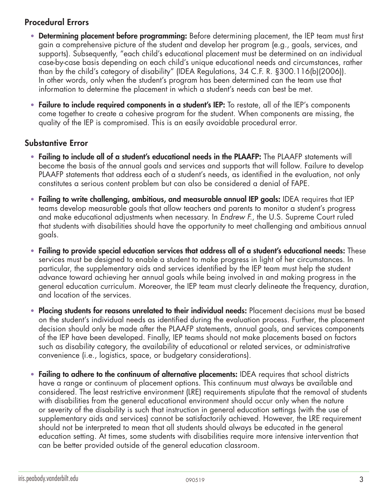#### Procedural Errors

- Determining placement before programming: Before determining placement, the IEP team must first gain a comprehensive picture of the student and develop her program (e.g., goals, services, and supports). Subsequently, "each child's educational placement must be determined on an individual case-by-case basis depending on each child's unique educational needs and circumstances, rather than by the child's category of disability" (IDEA Regulations, 34 C.F. R. §300.116(b)(2006)). In other words, only when the student's program has been determined can the team use that information to determine the placement in which a student's needs can best be met.
- Failure to include required components in a student's IEP: To restate, all of the IEP's components come together to create a cohesive program for the student. When components are missing, the quality of the IEP is compromised. This is an easily avoidable procedural error.

#### Substantive Error

- Failing to include all of a student's educational needs in the PLAAFP: The PLAAFP statements will become the basis of the annual goals and services and supports that will follow. Failure to develop PLAAFP statements that address each of a student's needs, as identified in the evaluation, not only constitutes a serious content problem but can also be considered a denial of FAPE.
- Failing to write challenging, ambitious, and measurable annual IEP goals: IDEA requires that IEP teams develop measurable goals that allow teachers and parents to monitor a student's progress and make educational adjustments when necessary. In *Endrew F.*, the U.S. Supreme Court ruled that students with disabilities should have the opportunity to meet challenging and ambitious annual goals.
- Failing to provide special education services that address all of a student's educational needs: These services must be designed to enable a student to make progress in light of her circumstances. In particular, the supplementary aids and services identified by the IEP team must help the student advance toward achieving her annual goals while being involved in and making progress in the general education curriculum. Moreover, the IEP team must clearly delineate the frequency, duration, and location of the services.
- Placing students for reasons unrelated to their individual needs: Placement decisions must be based on the student's individual needs as identified during the evaluation process. Further, the placement decision should only be made after the PLAAFP statements, annual goals, and services components of the IEP have been developed. Finally, IEP teams should not make placements based on factors such as disability category, the availability of educational or related services, or administrative convenience (i.e., logistics, space, or budgetary considerations).
- Failing to adhere to the continuum of alternative placements: IDEA requires that school districts have a range or continuum of placement options. This continuum must always be available and considered. The least restrictive environment (LRE) requirements stipulate that the removal of students with disabilities from the general educational environment should occur only when the nature or severity of the disability is such that instruction in general education settings (with the use of supplementary aids and services) cannot be satisfactorily achieved. However, the LRE requirement should not be interpreted to mean that all students should always be educated in the general education setting. At times, some students with disabilities require more intensive intervention that can be better provided outside of the general education classroom.